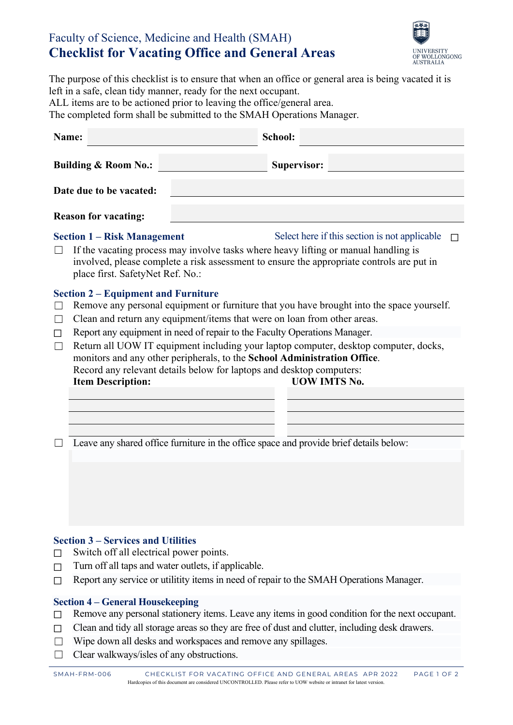## Faculty of Science, Medicine and Health (SMAH) **Checklist for Vacating Office and General Areas**



| The purpose of this checklist is to ensure that when an office or general area is being vacated it is |
|-------------------------------------------------------------------------------------------------------|
| left in a safe, clean tidy manner, ready for the next occupant.                                       |
| ALL items are to be actioned prior to leaving the office/general area.                                |
| The completed form shall be submitted to the SMAH Operations Manager.                                 |
|                                                                                                       |

| Name:                                                                                            | School:                                                                                                                                                                                                                                                                                                                                                                                                                                                                                                               |
|--------------------------------------------------------------------------------------------------|-----------------------------------------------------------------------------------------------------------------------------------------------------------------------------------------------------------------------------------------------------------------------------------------------------------------------------------------------------------------------------------------------------------------------------------------------------------------------------------------------------------------------|
| <b>Building &amp; Room No.:</b>                                                                  | <b>Supervisor:</b>                                                                                                                                                                                                                                                                                                                                                                                                                                                                                                    |
| Date due to be vacated:                                                                          |                                                                                                                                                                                                                                                                                                                                                                                                                                                                                                                       |
| <b>Reason for vacating:</b>                                                                      |                                                                                                                                                                                                                                                                                                                                                                                                                                                                                                                       |
| <b>Section 1 – Risk Management</b><br>place first. SafetyNet Ref. No.:                           | Select here if this section is not applicable<br>If the vacating process may involve tasks where heavy lifting or manual handling is<br>involved, please complete a risk assessment to ensure the appropriate controls are put in                                                                                                                                                                                                                                                                                     |
| <b>Section 2 – Equipment and Furniture</b><br>$\Box$<br>П<br>$\perp$<br><b>Item Description:</b> | Remove any personal equipment or furniture that you have brought into the space yourself.<br>Clean and return any equipment/items that were on loan from other areas.<br>Report any equipment in need of repair to the Faculty Operations Manager.<br>Return all UOW IT equipment including your laptop computer, desktop computer, docks,<br>monitors and any other peripherals, to the School Administration Office.<br>Record any relevant details below for laptops and desktop computers:<br><b>UOW IMTS No.</b> |
|                                                                                                  | Leave any shared office furniture in the office space and provide brief details below:                                                                                                                                                                                                                                                                                                                                                                                                                                |

### **Section 3 – Services and Utilities**

- $\Box$  Switch off all electrical power points.
- ☐ Turn off all taps and water outlets, if applicable.
- ☐ Report any service or utilitity items in need of repair to the SMAH Operations Manager.

#### **Section 4 – General Housekeeping**

- ☐ Remove any personal stationery items. Leave any items in good condition for the next occupant.
- $\Box$  Clean and tidy all storage areas so they are free of dust and clutter, including desk drawers.
- ☐ Wipe down all desks and workspaces and remove any spillages.
- □ Clear walkways/isles of any obstructions.